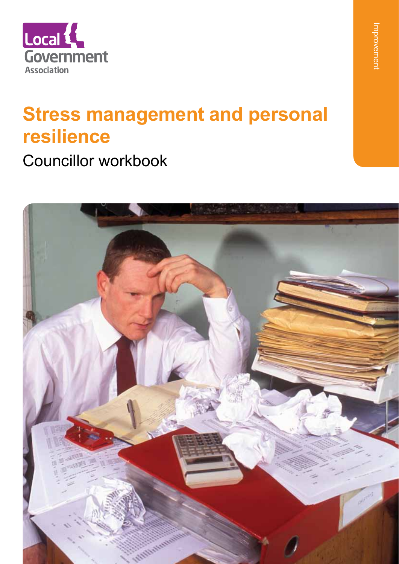

## **Stress management and personal resilience**

Councillor workbook

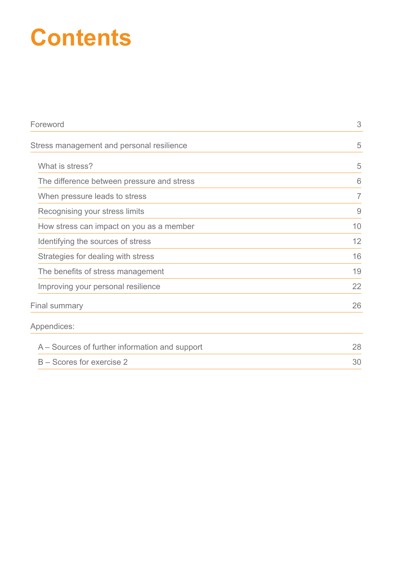# **Contents**

| Foreword                                       |                |
|------------------------------------------------|----------------|
| Stress management and personal resilience      | 5              |
| What is stress?                                | 5              |
| The difference between pressure and stress     | 6              |
| When pressure leads to stress                  | $\overline{7}$ |
| Recognising your stress limits                 | $\overline{9}$ |
| How stress can impact on you as a member       | 10             |
| Identifying the sources of stress              | 12             |
| Strategies for dealing with stress             | 16             |
| The benefits of stress management              | 19             |
| Improving your personal resilience             | 22             |
| <b>Final summary</b>                           | 26             |
| Appendices:                                    |                |
| A – Sources of further information and support | 28             |
| B – Scores for exercise 2                      |                |
|                                                |                |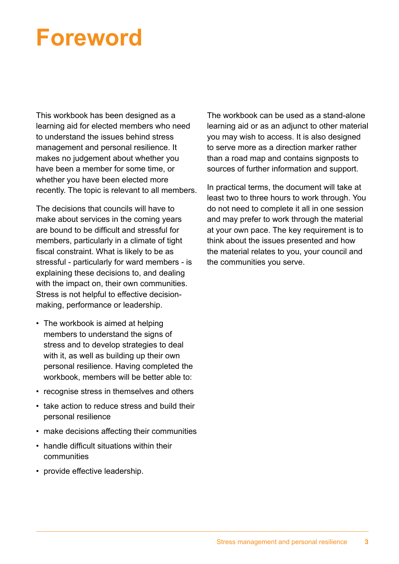# **Foreword**

This workbook has been designed as a learning aid for elected members who need to understand the issues behind stress management and personal resilience. It makes no judgement about whether you have been a member for some time, or whether you have been elected more recently. The topic is relevant to all members.

The decisions that councils will have to make about services in the coming years are bound to be difficult and stressful for members, particularly in a climate of tight fiscal constraint. What is likely to be as stressful - particularly for ward members - is explaining these decisions to, and dealing with the impact on, their own communities. Stress is not helpful to effective decisionmaking, performance or leadership.

- The workbook is aimed at helping members to understand the signs of stress and to develop strategies to deal with it, as well as building up their own personal resilience. Having completed the workbook, members will be better able to:
- recognise stress in themselves and others
- take action to reduce stress and build their personal resilience
- make decisions affecting their communities
- handle difficult situations within their communities
- provide effective leadership.

The workbook can be used as a stand-alone learning aid or as an adjunct to other material you may wish to access. It is also designed to serve more as a direction marker rather than a road map and contains signposts to sources of further information and support.

In practical terms, the document will take at least two to three hours to work through. You do not need to complete it all in one session and may prefer to work through the material at your own pace. The key requirement is to think about the issues presented and how the material relates to you, your council and the communities you serve.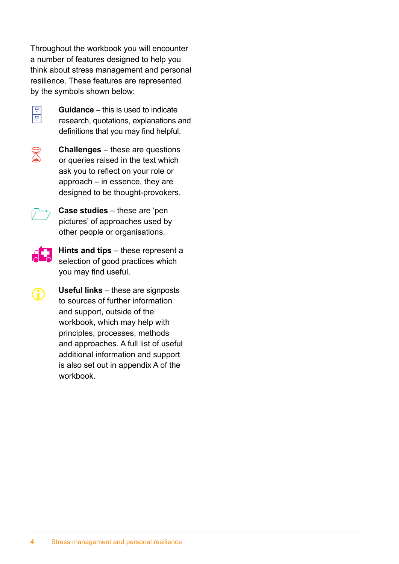Throughout the workbook you will encounter a number of features designed to help you think about stress management and personal resilience. These features are represented by the symbols shown below:



**Guidance** – this is used to indicate<br>research, quotations, explanations and definitions that you may find helpful.



**Challenges** – these are questions<br>
or queries raised in the text which ask you to reflect on your role or approach – in essence, they are designed to be thought-provokers.



**Case studies** – these are 'pen pictures' of approaches used by other people or organisations.



**Hints and tips** – these represent a selection of good practices which you may find useful.



**Useful links** – these are signposts to sources of further information and support, outside of the workbook, which may help with principles, processes, methods and approaches. A full list of useful additional information and support is also set out in appendix A of the workbook.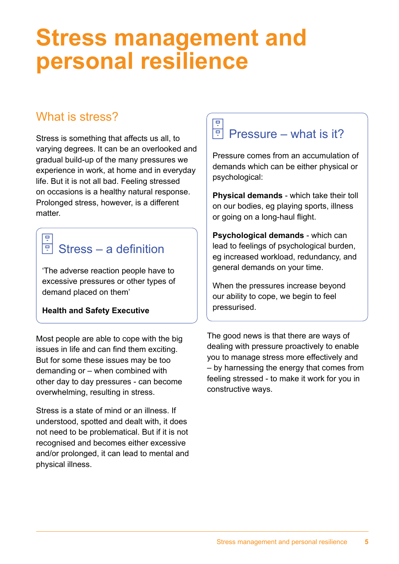## **Stress management and personal resilience**

## What is stress?

Stress is something that affects us all, to varying degrees. It can be an overlooked and gradual build-up of the many pressures we experience in work, at home and in everyday life. But it is not all bad. Feeling stressed on occasions is a healthy natural response. Prolonged stress, however, is a different matter.

#### Stress – a definition ᄒ

'The adverse reaction people have to excessive pressures or other types of demand placed on them'

## **Health and Safety Executive**

Most people are able to cope with the big issues in life and can find them exciting. But for some these issues may be too demanding or – when combined with other day to day pressures - can become overwhelming, resulting in stress.

Stress is a state of mind or an illness. If understood, spotted and dealt with, it does not need to be problematical. But if it is not recognised and becomes either excessive and/or prolonged, it can lead to mental and physical illness.

## $\boxed{P}$  Pressure – what is it?

Pressure comes from an accumulation of demands which can be either physical or psychological:

**Physical demands** - which take their toll on our bodies, eg playing sports, illness or going on a long-haul flight.

**Psychological demands** - which can lead to feelings of psychological burden, eg increased workload, redundancy, and general demands on your time.

When the pressures increase beyond our ability to cope, we begin to feel pressurised.

The good news is that there are ways of dealing with pressure proactively to enable you to manage stress more effectively and – by harnessing the energy that comes from feeling stressed - to make it work for you in constructive ways.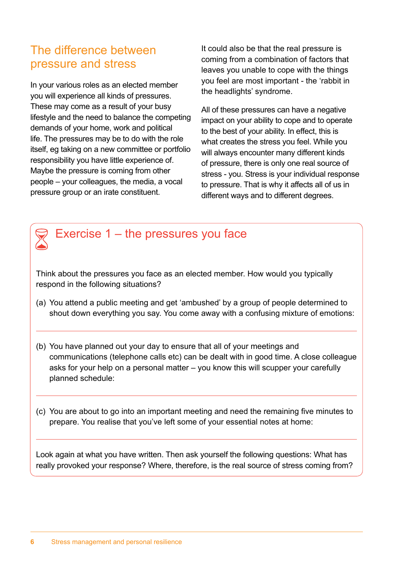## The difference between pressure and stress

In your various roles as an elected member you will experience all kinds of pressures. These may come as a result of your busy lifestyle and the need to balance the competing demands of your home, work and political life. The pressures may be to do with the role itself, eg taking on a new committee or portfolio responsibility you have little experience of. Maybe the pressure is coming from other people – your colleagues, the media, a vocal pressure group or an irate constituent.

It could also be that the real pressure is coming from a combination of factors that leaves you unable to cope with the things you feel are most important - the 'rabbit in the headlights' syndrome.

All of these pressures can have a negative impact on your ability to cope and to operate to the best of your ability. In effect, this is what creates the stress you feel. While you will always encounter many different kinds of pressure, there is only one real source of stress - you. Stress is your individual response to pressure. That is why it affects all of us in different ways and to different degrees.



Think about the pressures you face as an elected member. How would you typically respond in the following situations?

- (a) You attend a public meeting and get 'ambushed' by a group of people determined to shout down everything you say. You come away with a confusing mixture of emotions:
- (b) You have planned out your day to ensure that all of your meetings and communications (telephone calls etc) can be dealt with in good time. A close colleague asks for your help on a personal matter – you know this will scupper your carefully planned schedule:
- (c) You are about to go into an important meeting and need the remaining five minutes to prepare. You realise that you've left some of your essential notes at home:

Look again at what you have written. Then ask yourself the following questions: What has really provoked your response? Where, therefore, is the real source of stress coming from?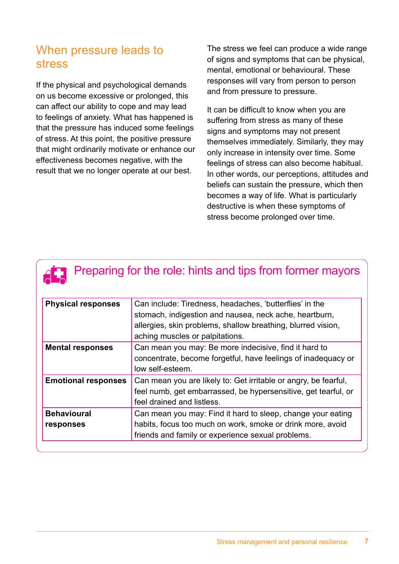## When pressure leads to stress

If the physical and psychological demands on us become excessive or prolonged, this can affect our ability to cope and may lead to feelings of anxiety. What has happened is that the pressure has induced some feelings of stress. At this point, the positive pressure that might ordinarily motivate or enhance our effectiveness becomes negative, with the result that we no longer operate at our best.

The stress we feel can produce a wide range of signs and symptoms that can be physical, mental, emotional or behavioural. These responses will vary from person to person and from pressure to pressure.

It can be difficult to know when you are suffering from stress as many of these signs and symptoms may not present themselves immediately. Similarly, they may only increase in intensity over time. Some feelings of stress can also become habitual. In other words, our perceptions, attitudes and beliefs can sustain the pressure, which then becomes a way of life. What is particularly destructive is when these symptoms of stress become prolonged over time.

# **Preparing for the role: hints and tips from former mayors**

| <b>Physical responses</b>  | Can include: Tiredness, headaches, 'butterflies' in the<br>stomach, indigestion and nausea, neck ache, heartburn,<br>allergies, skin problems, shallow breathing, blurred vision,<br>aching muscles or palpitations. |
|----------------------------|----------------------------------------------------------------------------------------------------------------------------------------------------------------------------------------------------------------------|
| <b>Mental responses</b>    | Can mean you may: Be more indecisive, find it hard to<br>concentrate, become forgetful, have feelings of inadequacy or<br>low self-esteem.                                                                           |
| <b>Emotional responses</b> | Can mean you are likely to: Get irritable or angry, be fearful,<br>feel numb, get embarrassed, be hypersensitive, get tearful, or<br>feel drained and listless.                                                      |
| <b>Behavioural</b>         | Can mean you may: Find it hard to sleep, change your eating                                                                                                                                                          |
| responses                  | habits, focus too much on work, smoke or drink more, avoid<br>friends and family or experience sexual problems.                                                                                                      |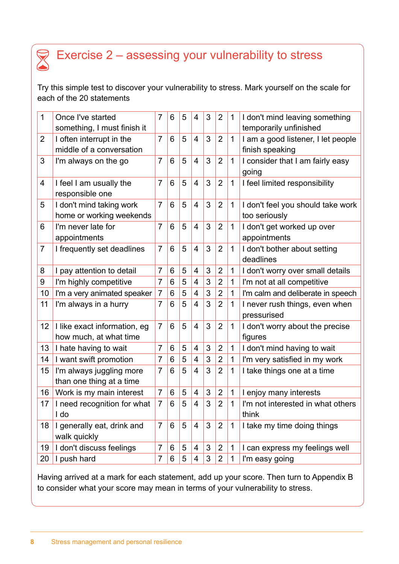## Exercise 2 – assessing your vulnerability to stress

Try this simple test to discover your vulnerability to stress. Mark yourself on the scale for each of the 20 statements

| 1              | Once I've started<br>something, I must finish it | $\overline{7}$ | 6 | 5 | $\overline{4}$           | 3 | $\overline{2}$ | $\mathbf 1$  | I don't mind leaving something<br>temporarily unfinished |
|----------------|--------------------------------------------------|----------------|---|---|--------------------------|---|----------------|--------------|----------------------------------------------------------|
| $\overline{2}$ | I often interrupt in the                         | $\overline{7}$ | 6 | 5 | $\overline{4}$           | 3 | $\overline{2}$ | $\mathbf{1}$ | I am a good listener, I let people                       |
|                | middle of a conversation                         |                |   |   |                          |   |                |              | finish speaking                                          |
| 3              | I'm always on the go                             | $\overline{7}$ | 6 | 5 | $\overline{4}$           | 3 | $\overline{2}$ | $\mathbf 1$  | I consider that I am fairly easy                         |
|                |                                                  |                |   |   |                          |   |                |              | going                                                    |
| $\overline{4}$ | I feel I am usually the                          | $\overline{7}$ | 6 | 5 | $\overline{4}$           | 3 | $\overline{2}$ | 1            | I feel limited responsibility                            |
|                | responsible one                                  |                |   |   |                          |   |                |              |                                                          |
| 5              | I don't mind taking work                         | $\overline{7}$ | 6 | 5 | $\overline{4}$           | 3 | $\overline{2}$ | 1            | I don't feel you should take work                        |
|                | home or working weekends                         |                |   |   |                          |   |                |              | too seriously                                            |
| 6              | I'm never late for                               | $\overline{7}$ | 6 | 5 | $\overline{4}$           | 3 | $\overline{2}$ | $\mathbf{1}$ | I don't get worked up over                               |
|                | appointments                                     |                |   |   |                          |   |                |              | appointments                                             |
| $\overline{7}$ | I frequently set deadlines                       | $\overline{7}$ | 6 | 5 | $\overline{4}$           | 3 | $\overline{2}$ | 1            | I don't bother about setting                             |
|                |                                                  |                |   |   |                          |   |                |              | deadlines                                                |
| 8              | I pay attention to detail                        | $\overline{7}$ | 6 | 5 | $\overline{4}$           | 3 | $\overline{2}$ | $\mathbf 1$  | I don't worry over small details                         |
| 9              | I'm highly competitive                           | $\overline{7}$ | 6 | 5 | $\overline{\mathbf{4}}$  | 3 | $\overline{2}$ | 1            | I'm not at all competitive                               |
| 10             | I'm a very animated speaker                      | $\overline{7}$ | 6 | 5 | 4                        | 3 | $\overline{2}$ | 1            | I'm calm and deliberate in speech                        |
| 11             | I'm always in a hurry                            | 7              | 6 | 5 | $\overline{4}$           | 3 | $\overline{2}$ | 1            | I never rush things, even when                           |
|                |                                                  |                |   |   |                          |   |                |              | pressurised                                              |
| 12             | I like exact information, eg                     | $\overline{7}$ | 6 | 5 | $\overline{4}$           | 3 | $\overline{2}$ | $\mathbf 1$  | I don't worry about the precise                          |
|                | how much, at what time                           |                |   |   |                          |   |                |              | figures                                                  |
| 13             | I hate having to wait                            | $\overline{7}$ | 6 | 5 | $\overline{\mathcal{A}}$ | 3 | $\overline{2}$ | 1            | I don't mind having to wait                              |
| 14             | I want swift promotion                           | $\overline{7}$ | 6 | 5 | $\overline{\mathbf{4}}$  | 3 | $\overline{2}$ | $\mathbf 1$  | I'm very satisfied in my work                            |
| 15             | I'm always juggling more                         | $\overline{7}$ | 6 | 5 | $\overline{4}$           | 3 | $\overline{2}$ | $\mathbf 1$  | I take things one at a time                              |
|                | than one thing at a time                         |                |   |   |                          |   |                |              |                                                          |
| 16             | Work is my main interest                         | $\overline{7}$ | 6 | 5 | $\overline{4}$           | 3 | $\overline{2}$ | 1            | I enjoy many interests                                   |
| 17             | I need recognition for what                      | $\overline{7}$ | 6 | 5 | 4                        | 3 | $\overline{2}$ | 1            | I'm not interested in what others                        |
|                | I do                                             |                |   |   |                          |   |                |              | think                                                    |
| 18             | I generally eat, drink and                       | $\overline{7}$ | 6 | 5 | $\overline{\mathbf{4}}$  | 3 | $\overline{2}$ | $\mathbf 1$  | I take my time doing things                              |
|                | walk quickly                                     |                |   |   |                          |   |                |              |                                                          |
| 19             | I don't discuss feelings                         | $\overline{7}$ | 6 | 5 | 4                        | 3 | $\overline{2}$ | $\mathbf 1$  | I can express my feelings well                           |
| 20             | I push hard                                      | $\overline{7}$ | 6 | 5 | 4                        | 3 | $\overline{2}$ | 1            | I'm easy going                                           |

Having arrived at a mark for each statement, add up your score. Then turn to Appendix B to consider what your score may mean in terms of your vulnerability to stress.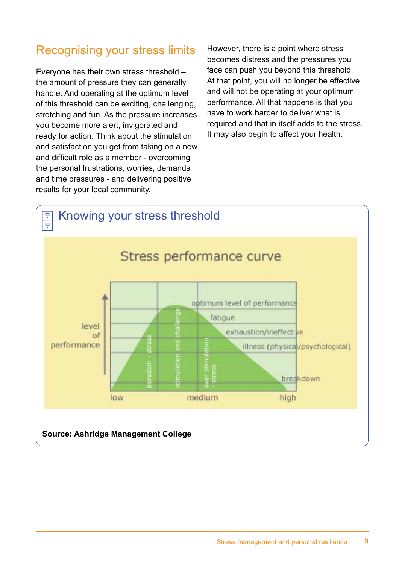## Recognising your stress limits

Everyone has their own stress threshold – the amount of pressure they can generally handle. And operating at the optimum level of this threshold can be exciting, challenging, stretching and fun. As the pressure increases you become more alert, invigorated and ready for action. Think about the stimulation and satisfaction you get from taking on a new and difficult role as a member - overcoming the personal frustrations, worries, demands and time pressures - and delivering positive results for your local community.

However, there is a point where stress becomes distress and the pressures you face can push you beyond this threshold. At that point, you will no longer be effective and will not be operating at your optimum performance. All that happens is that you have to work harder to deliver what is required and that in itself adds to the stress. It may also begin to affect your health.

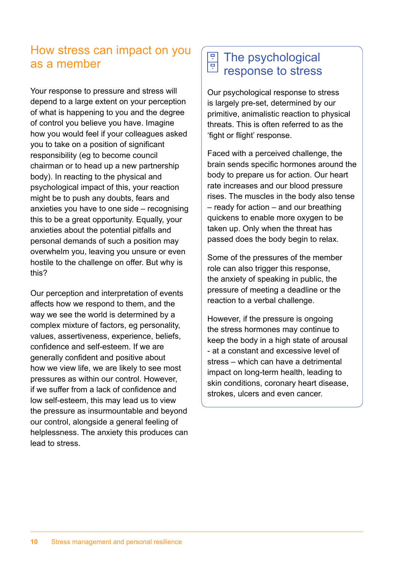## How stress can impact on you as a member

Your response to pressure and stress will depend to a large extent on your perception of what is happening to you and the degree of control you believe you have. Imagine how you would feel if your colleagues asked you to take on a position of significant responsibility (eg to become council chairman or to head up a new partnership body). In reacting to the physical and psychological impact of this, your reaction might be to push any doubts, fears and anxieties you have to one side – recognising this to be a great opportunity. Equally, your anxieties about the potential pitfalls and personal demands of such a position may overwhelm you, leaving you unsure or even hostile to the challenge on offer. But why is this?

Our perception and interpretation of events affects how we respond to them, and the way we see the world is determined by a complex mixture of factors, eg personality, values, assertiveness, experience, beliefs, confidence and self-esteem. If we are generally confident and positive about how we view life, we are likely to see most pressures as within our control. However, if we suffer from a lack of confidence and low self-esteem, this may lead us to view the pressure as insurmountable and beyond our control, alongside a general feeling of helplessness. The anxiety this produces can lead to stress.

#### The psychological Ţ response to stress

Our psychological response to stress is largely pre-set, determined by our primitive, animalistic reaction to physical threats. This is often referred to as the 'fight or flight' response.

Faced with a perceived challenge, the brain sends specific hormones around the body to prepare us for action. Our heart rate increases and our blood pressure rises. The muscles in the body also tense – ready for action – and our breathing quickens to enable more oxygen to be taken up. Only when the threat has passed does the body begin to relax.

Some of the pressures of the member role can also trigger this response, the anxiety of speaking in public, the pressure of meeting a deadline or the reaction to a verbal challenge.

However, if the pressure is ongoing the stress hormones may continue to keep the body in a high state of arousal - at a constant and excessive level of stress – which can have a detrimental impact on long-term health, leading to skin conditions, coronary heart disease, strokes, ulcers and even cancer.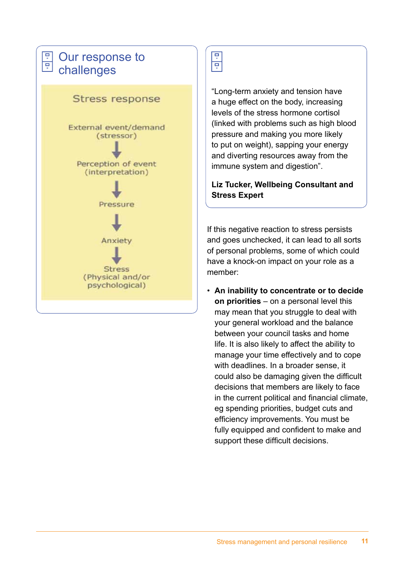## Our response to **E** Our recession



## ਚ  $\overline{\mathbf{P}}$

"Long-term anxiety and tension have a huge effect on the body, increasing levels of the stress hormone cortisol (linked with problems such as high blood pressure and making you more likely to put on weight), sapping your energy and diverting resources away from the immune system and digestion".

**Liz Tucker, Wellbeing Consultant and Stress Expert**

If this negative reaction to stress persists and goes unchecked, it can lead to all sorts of personal problems, some of which could have a knock-on impact on your role as a member:

• **An inability to concentrate or to decide on priorities** – on a personal level this may mean that you struggle to deal with your general workload and the balance between your council tasks and home life. It is also likely to affect the ability to manage your time effectively and to cope with deadlines. In a broader sense, it could also be damaging given the difficult decisions that members are likely to face in the current political and financial climate, eg spending priorities, budget cuts and efficiency improvements. You must be fully equipped and confident to make and support these difficult decisions.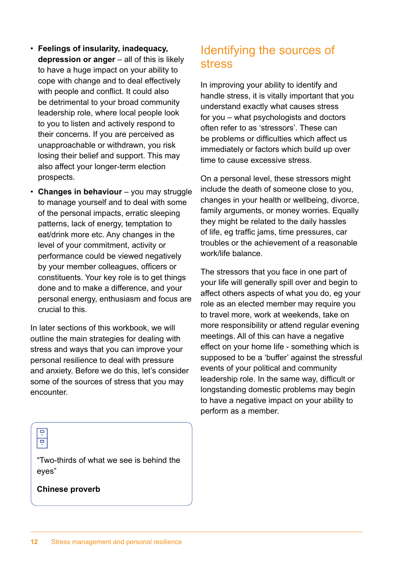- **Feelings of insularity, inadequacy, depression or anger** – all of this is likely to have a huge impact on your ability to cope with change and to deal effectively with people and conflict. It could also be detrimental to your broad community leadership role, where local people look to you to listen and actively respond to their concerns. If you are perceived as unapproachable or withdrawn, you risk losing their belief and support. This may also affect your longer-term election prospects.
- **Changes in behaviour**  you may struggle to manage yourself and to deal with some of the personal impacts, erratic sleeping patterns, lack of energy, temptation to eat/drink more etc. Any changes in the level of your commitment, activity or performance could be viewed negatively by your member colleagues, officers or constituents. Your key role is to get things done and to make a difference, and your personal energy, enthusiasm and focus are crucial to this.

In later sections of this workbook, we will outline the main strategies for dealing with stress and ways that you can improve your personal resilience to deal with pressure and anxiety. Before we do this, let's consider some of the sources of stress that you may encounter.

## Identifying the sources of stress

In improving your ability to identify and handle stress, it is vitally important that you understand exactly what causes stress for you – what psychologists and doctors often refer to as 'stressors'. These can be problems or difficulties which affect us immediately or factors which build up over time to cause excessive stress.

On a personal level, these stressors might include the death of someone close to you, changes in your health or wellbeing, divorce, family arguments, or money worries. Equally they might be related to the daily hassles of life, eg traffic jams, time pressures, car troubles or the achievement of a reasonable work/life balance.

The stressors that you face in one part of your life will generally spill over and begin to affect others aspects of what you do, eg your role as an elected member may require you to travel more, work at weekends, take on more responsibility or attend regular evening meetings. All of this can have a negative effect on your home life - something which is supposed to be a 'buffer' against the stressful events of your political and community leadership role. In the same way, difficult or longstanding domestic problems may begin to have a negative impact on your ability to perform as a member.



"Two-thirds of what we see is behind the eyes"

**Chinese proverb**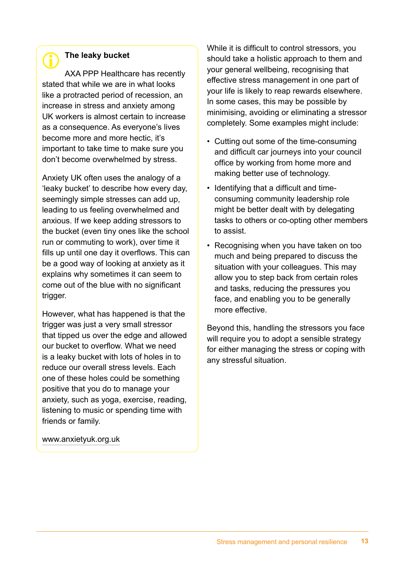## **The leaky bucket**

AXA PPP Healthcare has recently stated that while we are in what looks like a protracted period of recession, an increase in stress and anxiety among UK workers is almost certain to increase as a consequence. As everyone's lives become more and more hectic, it's important to take time to make sure you don't become overwhelmed by stress.

Anxiety UK often uses the analogy of a 'leaky bucket' to describe how every day, seemingly simple stresses can add up, leading to us feeling overwhelmed and anxious. If we keep adding stressors to the bucket (even tiny ones like the school run or commuting to work), over time it fills up until one day it overflows. This can be a good way of looking at anxiety as it explains why sometimes it can seem to come out of the blue with no significant trigger.

However, what has happened is that the trigger was just a very small stressor that tipped us over the edge and allowed our bucket to overflow. What we need is a leaky bucket with lots of holes in to reduce our overall stress levels. Each one of these holes could be something positive that you do to manage your anxiety, such as yoga, exercise, reading, listening to music or spending time with friends or family.

www.anxietyuk.org.uk

While it is difficult to control stressors, you should take a holistic approach to them and your general wellbeing, recognising that effective stress management in one part of your life is likely to reap rewards elsewhere. In some cases, this may be possible by minimising, avoiding or eliminating a stressor completely. Some examples might include:

- Cutting out some of the time-consuming and difficult car journeys into your council office by working from home more and making better use of technology.
- Identifying that a difficult and timeconsuming community leadership role might be better dealt with by delegating tasks to others or co-opting other members to assist.
- Recognising when you have taken on too much and being prepared to discuss the situation with your colleagues. This may allow you to step back from certain roles and tasks, reducing the pressures you face, and enabling you to be generally more effective.

Beyond this, handling the stressors you face will require you to adopt a sensible strategy for either managing the stress or coping with any stressful situation.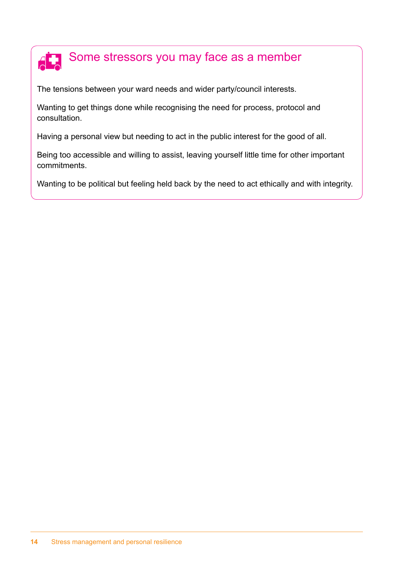### Some stressors you may face as a member **AR**

The tensions between your ward needs and wider party/council interests.

Wanting to get things done while recognising the need for process, protocol and consultation.

Having a personal view but needing to act in the public interest for the good of all.

Being too accessible and willing to assist, leaving yourself little time for other important commitments.

Wanting to be political but feeling held back by the need to act ethically and with integrity.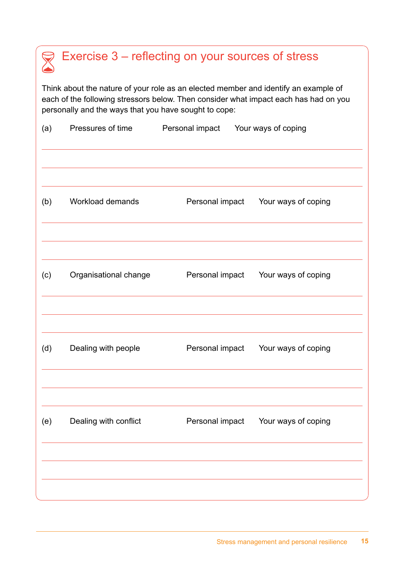## Exercise 3 – reflecting on your sources of stress  $\sum_{i=1}^{n}$

Think about the nature of your role as an elected member and identify an example of each of the following stressors below. Then consider what impact each has had on you personally and the ways that you have sought to cope:

| (a) | Pressures of time     | Personal impact | Your ways of coping                 |  |
|-----|-----------------------|-----------------|-------------------------------------|--|
|     |                       |                 |                                     |  |
| (b) | Workload demands      | Personal impact | Your ways of coping                 |  |
| (c) | Organisational change | Personal impact | Your ways of coping                 |  |
|     |                       |                 |                                     |  |
| (d) | Dealing with people   | Personal impact | Your ways of coping                 |  |
|     |                       |                 |                                     |  |
| (e) | Dealing with conflict |                 | Personal impact Your ways of coping |  |
|     |                       |                 |                                     |  |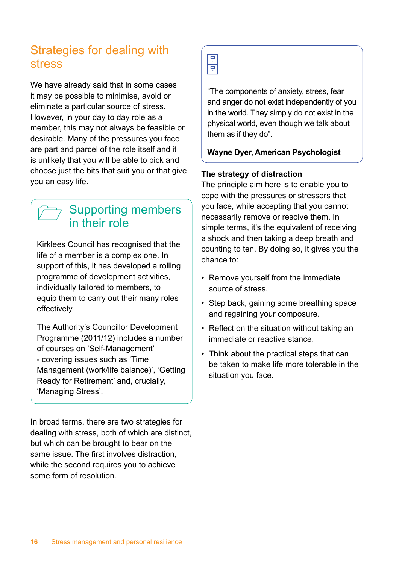## Strategies for dealing with stress

We have already said that in some cases it may be possible to minimise, avoid or eliminate a particular source of stress. However, in your day to day role as a member, this may not always be feasible or desirable. Many of the pressures you face are part and parcel of the role itself and it is unlikely that you will be able to pick and choose just the bits that suit you or that give you an easy life.

## Supporting members in their role

Kirklees Council has recognised that the life of a member is a complex one. In support of this, it has developed a rolling programme of development activities, individually tailored to members, to equip them to carry out their many roles effectively.

The Authority's Councillor Development Programme (2011/12) includes a number of courses on 'Self-Management' - covering issues such as 'Time Management (work/life balance)', 'Getting Ready for Retirement' and, crucially, 'Managing Stress'.

In broad terms, there are two strategies for dealing with stress, both of which are distinct, but which can be brought to bear on the same issue. The first involves distraction, while the second requires you to achieve some form of resolution.

릨

"The components of anxiety, stress, fear and anger do not exist independently of you in the world. They simply do not exist in the physical world, even though we talk about them as if they do".

### **Wayne Dyer, American Psychologist**

### **The strategy of distraction**

The principle aim here is to enable you to cope with the pressures or stressors that you face, while accepting that you cannot necessarily remove or resolve them. In simple terms, it's the equivalent of receiving a shock and then taking a deep breath and counting to ten. By doing so, it gives you the chance to:

- Remove yourself from the immediate source of stress.
- Step back, gaining some breathing space and regaining your composure.
- Reflect on the situation without taking an immediate or reactive stance.
- Think about the practical steps that can be taken to make life more tolerable in the situation you face.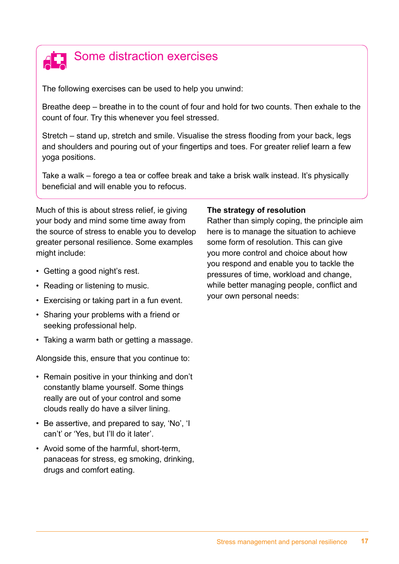

The following exercises can be used to help you unwind:

Breathe deep – breathe in to the count of four and hold for two counts. Then exhale to the count of four. Try this whenever you feel stressed.

Stretch – stand up, stretch and smile. Visualise the stress flooding from your back, legs and shoulders and pouring out of your fingertips and toes. For greater relief learn a few yoga positions.

Take a walk – forego a tea or coffee break and take a brisk walk instead. It's physically beneficial and will enable you to refocus.

Much of this is about stress relief, ie giving your body and mind some time away from the source of stress to enable you to develop greater personal resilience. Some examples might include:

- Getting a good night's rest.
- Reading or listening to music.
- Exercising or taking part in a fun event.
- Sharing your problems with a friend or seeking professional help.
- Taking a warm bath or getting a massage.

Alongside this, ensure that you continue to:

- Remain positive in your thinking and don't constantly blame yourself. Some things really are out of your control and some clouds really do have a silver lining.
- Be assertive, and prepared to say, 'No', 'I can't' or 'Yes, but I'll do it later'.
- Avoid some of the harmful, short-term, panaceas for stress, eg smoking, drinking, drugs and comfort eating.

#### **The strategy of resolution**

Rather than simply coping, the principle aim here is to manage the situation to achieve some form of resolution. This can give you more control and choice about how you respond and enable you to tackle the pressures of time, workload and change, while better managing people, conflict and your own personal needs: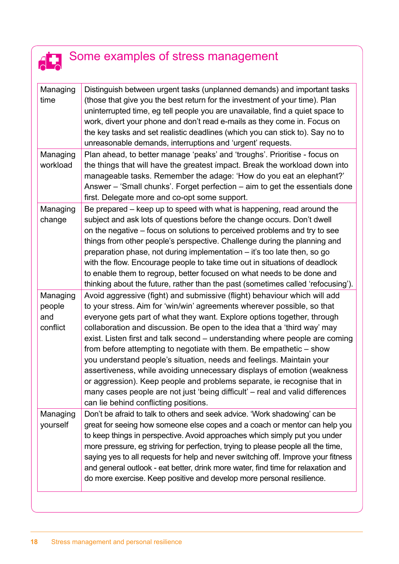## Some examples of stress management  $\overline{\textbf{d}}$

| Managing<br>time                      | Distinguish between urgent tasks (unplanned demands) and important tasks<br>(those that give you the best return for the investment of your time). Plan<br>uninterrupted time, eg tell people you are unavailable, find a quiet space to<br>work, divert your phone and don't read e-mails as they come in. Focus on<br>the key tasks and set realistic deadlines (which you can stick to). Say no to<br>unreasonable demands, interruptions and 'urgent' requests.                                                                                                                                                                                                                                                                                                                                                       |
|---------------------------------------|---------------------------------------------------------------------------------------------------------------------------------------------------------------------------------------------------------------------------------------------------------------------------------------------------------------------------------------------------------------------------------------------------------------------------------------------------------------------------------------------------------------------------------------------------------------------------------------------------------------------------------------------------------------------------------------------------------------------------------------------------------------------------------------------------------------------------|
| Managing<br>workload                  | Plan ahead, to better manage 'peaks' and 'troughs'. Prioritise - focus on<br>the things that will have the greatest impact. Break the workload down into<br>manageable tasks. Remember the adage: 'How do you eat an elephant?'<br>Answer - 'Small chunks'. Forget perfection - aim to get the essentials done<br>first. Delegate more and co-opt some support.                                                                                                                                                                                                                                                                                                                                                                                                                                                           |
| Managing<br>change                    | Be prepared – keep up to speed with what is happening, read around the<br>subject and ask lots of questions before the change occurs. Don't dwell<br>on the negative – focus on solutions to perceived problems and try to see<br>things from other people's perspective. Challenge during the planning and<br>preparation phase, not during implementation - it's too late then, so go<br>with the flow. Encourage people to take time out in situations of deadlock<br>to enable them to regroup, better focused on what needs to be done and<br>thinking about the future, rather than the past (sometimes called 'refocusing').                                                                                                                                                                                       |
| Managing<br>people<br>and<br>conflict | Avoid aggressive (fight) and submissive (flight) behaviour which will add<br>to your stress. Aim for 'win/win' agreements wherever possible, so that<br>everyone gets part of what they want. Explore options together, through<br>collaboration and discussion. Be open to the idea that a 'third way' may<br>exist. Listen first and talk second - understanding where people are coming<br>from before attempting to negotiate with them. Be empathetic – show<br>you understand people's situation, needs and feelings. Maintain your<br>assertiveness, while avoiding unnecessary displays of emotion (weakness<br>or aggression). Keep people and problems separate, ie recognise that in<br>many cases people are not just 'being difficult' - real and valid differences<br>can lie behind conflicting positions. |
| Managing<br>yourself                  | Don't be afraid to talk to others and seek advice. 'Work shadowing' can be<br>great for seeing how someone else copes and a coach or mentor can help you<br>to keep things in perspective. Avoid approaches which simply put you under<br>more pressure, eg striving for perfection, trying to please people all the time,<br>saying yes to all requests for help and never switching off. Improve your fitness<br>and general outlook - eat better, drink more water, find time for relaxation and<br>do more exercise. Keep positive and develop more personal resilience.                                                                                                                                                                                                                                              |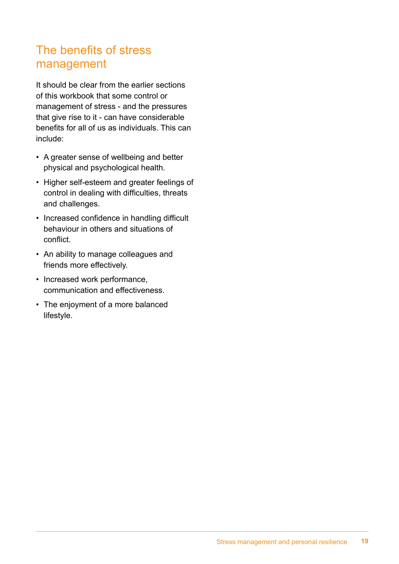## The benefits of stress management

It should be clear from the earlier sections of this workbook that some control or management of stress - and the pressures that give rise to it - can have considerable benefits for all of us as individuals. This can include:

- A greater sense of wellbeing and better physical and psychological health.
- Higher self-esteem and greater feelings of control in dealing with difficulties, threats and challenges.
- Increased confidence in handling difficult behaviour in others and situations of conflict.
- An ability to manage colleagues and friends more effectively.
- Increased work performance, communication and effectiveness.
- The enjoyment of a more balanced lifestyle.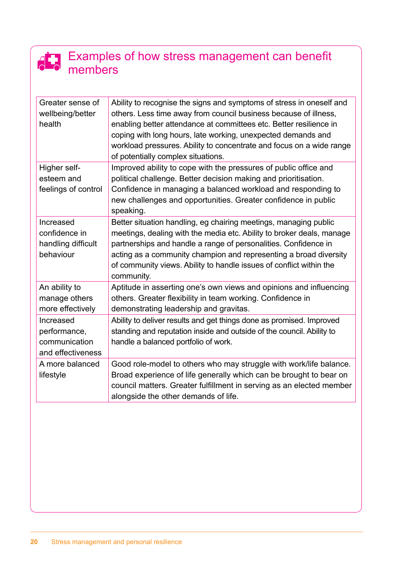## Examples of how stress management can benefit members

| Greater sense of<br>wellbeing/better<br>health                  | Ability to recognise the signs and symptoms of stress in oneself and<br>others. Less time away from council business because of illness,<br>enabling better attendance at committees etc. Better resilience in<br>coping with long hours, late working, unexpected demands and<br>workload pressures. Ability to concentrate and focus on a wide range<br>of potentially complex situations. |
|-----------------------------------------------------------------|----------------------------------------------------------------------------------------------------------------------------------------------------------------------------------------------------------------------------------------------------------------------------------------------------------------------------------------------------------------------------------------------|
| Higher self-<br>esteem and<br>feelings of control               | Improved ability to cope with the pressures of public office and<br>political challenge. Better decision making and prioritisation.<br>Confidence in managing a balanced workload and responding to<br>new challenges and opportunities. Greater confidence in public<br>speaking.                                                                                                           |
| Increased<br>confidence in<br>handling difficult<br>behaviour   | Better situation handling, eg chairing meetings, managing public<br>meetings, dealing with the media etc. Ability to broker deals, manage<br>partnerships and handle a range of personalities. Confidence in<br>acting as a community champion and representing a broad diversity<br>of community views. Ability to handle issues of conflict within the<br>community.                       |
| An ability to<br>manage others<br>more effectively              | Aptitude in asserting one's own views and opinions and influencing<br>others. Greater flexibility in team working. Confidence in<br>demonstrating leadership and gravitas.                                                                                                                                                                                                                   |
| Increased<br>performance,<br>communication<br>and effectiveness | Ability to deliver results and get things done as promised. Improved<br>standing and reputation inside and outside of the council. Ability to<br>handle a balanced portfolio of work.                                                                                                                                                                                                        |
| A more balanced<br>lifestyle                                    | Good role-model to others who may struggle with work/life balance.<br>Broad experience of life generally which can be brought to bear on<br>council matters. Greater fulfillment in serving as an elected member<br>alongside the other demands of life.                                                                                                                                     |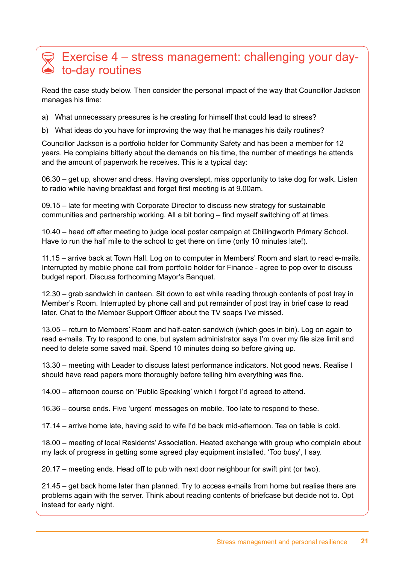## Exercise 4 – stress management: challenging your dayto-day routines

Read the case study below. Then consider the personal impact of the way that Councillor Jackson manages his time:

a) What unnecessary pressures is he creating for himself that could lead to stress?

b) What ideas do you have for improving the way that he manages his daily routines?

Councillor Jackson is a portfolio holder for Community Safety and has been a member for 12 years. He complains bitterly about the demands on his time, the number of meetings he attends and the amount of paperwork he receives. This is a typical day:

06.30 – get up, shower and dress. Having overslept, miss opportunity to take dog for walk. Listen to radio while having breakfast and forget first meeting is at 9.00am.

09.15 – late for meeting with Corporate Director to discuss new strategy for sustainable communities and partnership working. All a bit boring – find myself switching off at times.

10.40 – head off after meeting to judge local poster campaign at Chillingworth Primary School. Have to run the half mile to the school to get there on time (only 10 minutes late!).

11.15 – arrive back at Town Hall. Log on to computer in Members' Room and start to read e-mails. Interrupted by mobile phone call from portfolio holder for Finance - agree to pop over to discuss budget report. Discuss forthcoming Mayor's Banquet.

12.30 – grab sandwich in canteen. Sit down to eat while reading through contents of post tray in Member's Room. Interrupted by phone call and put remainder of post tray in brief case to read later. Chat to the Member Support Officer about the TV soaps I've missed.

13.05 – return to Members' Room and half-eaten sandwich (which goes in bin). Log on again to read e-mails. Try to respond to one, but system administrator says I'm over my file size limit and need to delete some saved mail. Spend 10 minutes doing so before giving up.

13.30 – meeting with Leader to discuss latest performance indicators. Not good news. Realise I should have read papers more thoroughly before telling him everything was fine.

14.00 – afternoon course on 'Public Speaking' which I forgot I'd agreed to attend.

16.36 – course ends. Five 'urgent' messages on mobile. Too late to respond to these.

17.14 – arrive home late, having said to wife I'd be back mid-afternoon. Tea on table is cold.

18.00 – meeting of local Residents' Association. Heated exchange with group who complain about my lack of progress in getting some agreed play equipment installed. 'Too busy', I say.

20.17 – meeting ends. Head off to pub with next door neighbour for swift pint (or two).

21.45 – get back home later than planned. Try to access e-mails from home but realise there are problems again with the server. Think about reading contents of briefcase but decide not to. Opt instead for early night.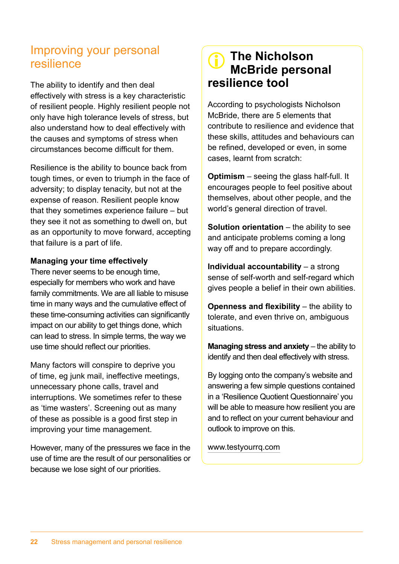## Improving your personal resilience

The ability to identify and then deal effectively with stress is a key characteristic of resilient people. Highly resilient people not only have high tolerance levels of stress, but also understand how to deal effectively with the causes and symptoms of stress when circumstances become difficult for them.

Resilience is the ability to bounce back from tough times, or even to triumph in the face of adversity; to display tenacity, but not at the expense of reason. Resilient people know that they sometimes experience failure – but they see it not as something to dwell on, but as an opportunity to move forward, accepting that failure is a part of life.

### **Managing your time effectively**

There never seems to be enough time, especially for members who work and have family commitments. We are all liable to misuse time in many ways and the cumulative effect of these time-consuming activities can significantly impact on our ability to get things done, which can lead to stress. In simple terms, the way we use time should reflect our priorities.

Many factors will conspire to deprive you of time, eg junk mail, ineffective meetings, unnecessary phone calls, travel and interruptions. We sometimes refer to these as 'time wasters'. Screening out as many of these as possible is a good first step in improving your time management.

However, many of the pressures we face in the use of time are the result of our personalities or because we lose sight of our priorities.

## **The Nicholson McBride personal resilience tool**

According to psychologists Nicholson McBride, there are 5 elements that contribute to resilience and evidence that these skills, attitudes and behaviours can be refined, developed or even, in some cases, learnt from scratch:

**Optimism** – seeing the glass half-full. It encourages people to feel positive about themselves, about other people, and the world's general direction of travel.

**Solution orientation** – the ability to see and anticipate problems coming a long way off and to prepare accordingly.

**Individual accountability** – a strong sense of self-worth and self-regard which gives people a belief in their own abilities.

**Openness and flexibility** – the ability to tolerate, and even thrive on, ambiguous situations.

**Managing stress and anxiety** – the ability to identify and then deal effectively with stress.

By logging onto the company's website and answering a few simple questions contained in a 'Resilience Quotient Questionnaire' you will be able to measure how resilient you are and to reflect on your current behaviour and outlook to improve on this.

www.testyourrq.com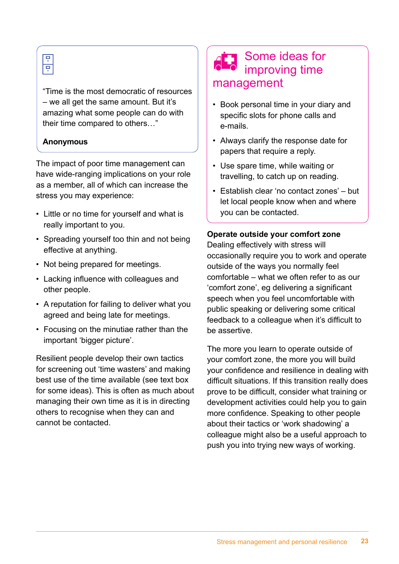## 물

"Time is the most democratic of resources – we all get the same amount. But it's amazing what some people can do with their time compared to others…"

## **Anonymous**

The impact of poor time management can have wide-ranging implications on your role as a member, all of which can increase the stress you may experience:

- Little or no time for yourself and what is really important to you.
- Spreading yourself too thin and not being effective at anything.
- Not being prepared for meetings.
- Lacking influence with colleagues and other people.
- A reputation for failing to deliver what you agreed and being late for meetings.
- Focusing on the minutiae rather than the important 'bigger picture'.

Resilient people develop their own tactics for screening out 'time wasters' and making best use of the time available (see text box for some ideas). This is often as much about managing their own time as it is in directing others to recognise when they can and cannot be contacted.

## Some ideas for improving time management

- Book personal time in your diary and specific slots for phone calls and e-mails.
- Always clarify the response date for papers that require a reply.
- Use spare time, while waiting or travelling, to catch up on reading.
- Establish clear 'no contact zones' but let local people know when and where you can be contacted.

### **Operate outside your comfort zone**

Dealing effectively with stress will occasionally require you to work and operate outside of the ways you normally feel comfortable – what we often refer to as our 'comfort zone', eg delivering a significant speech when you feel uncomfortable with public speaking or delivering some critical feedback to a colleague when it's difficult to be assertive.

The more you learn to operate outside of your comfort zone, the more you will build your confidence and resilience in dealing with difficult situations. If this transition really does prove to be difficult, consider what training or development activities could help you to gain more confidence. Speaking to other people about their tactics or 'work shadowing' a colleague might also be a useful approach to push you into trying new ways of working.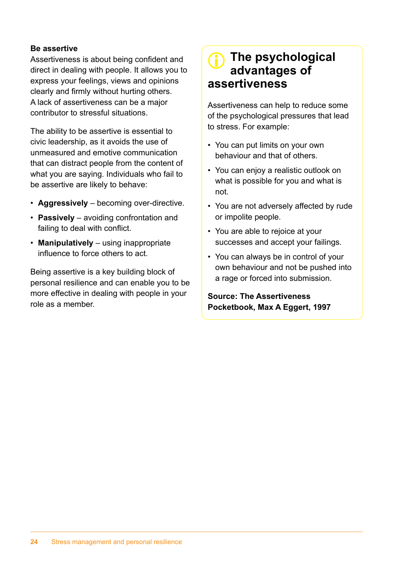#### **Be assertive**

Assertiveness is about being confident and direct in dealing with people. It allows you to express your feelings, views and opinions clearly and firmly without hurting others. A lack of assertiveness can be a major contributor to stressful situations.

The ability to be assertive is essential to civic leadership, as it avoids the use of unmeasured and emotive communication that can distract people from the content of what you are saying. Individuals who fail to be assertive are likely to behave:

- **Aggressively** becoming over-directive.
- **Passively** avoiding confrontation and failing to deal with conflict.
- **Manipulatively** using inappropriate influence to force others to act.

Being assertive is a key building block of personal resilience and can enable you to be more effective in dealing with people in your role as a member.

## **The psychological advantages of assertiveness**

Assertiveness can help to reduce some of the psychological pressures that lead to stress. For example:

- You can put limits on your own behaviour and that of others.
- You can enjoy a realistic outlook on what is possible for you and what is not.
- You are not adversely affected by rude or impolite people.
- You are able to rejoice at your successes and accept your failings.
- You can always be in control of your own behaviour and not be pushed into a rage or forced into submission.

### **Source: The Assertiveness Pocketbook, Max A Eggert, 1997**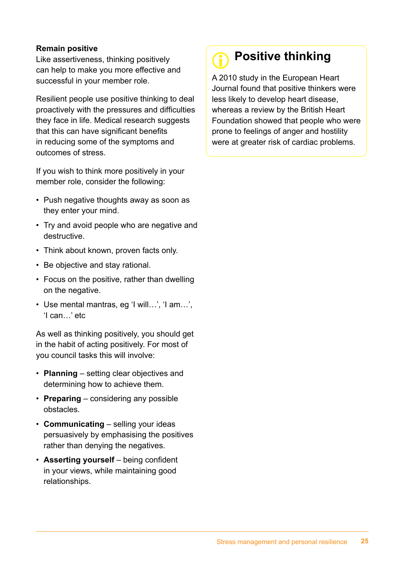#### **Remain positive**

Like assertiveness, thinking positively can help to make you more effective and successful in your member role.

Resilient people use positive thinking to deal proactively with the pressures and difficulties they face in life. Medical research suggests that this can have significant benefits in reducing some of the symptoms and outcomes of stress.

If you wish to think more positively in your member role, consider the following:

- Push negative thoughts away as soon as they enter your mind.
- Try and avoid people who are negative and destructive.
- Think about known, proven facts only.
- Be objective and stay rational.
- Focus on the positive, rather than dwelling on the negative.
- Use mental mantras, eg 'I will…', 'I am…', 'I can…' etc

As well as thinking positively, you should get in the habit of acting positively. For most of you council tasks this will involve:

- **Planning** setting clear objectives and determining how to achieve them.
- **Preparing** considering any possible obstacles.
- **Communicating** selling your ideas persuasively by emphasising the positives rather than denying the negatives.
- **Asserting yourself** being confident in your views, while maintaining good relationships.

## **Positive thinking**

A 2010 study in the European Heart Journal found that positive thinkers were less likely to develop heart disease, whereas a review by the British Heart Foundation showed that people who were prone to feelings of anger and hostility were at greater risk of cardiac problems.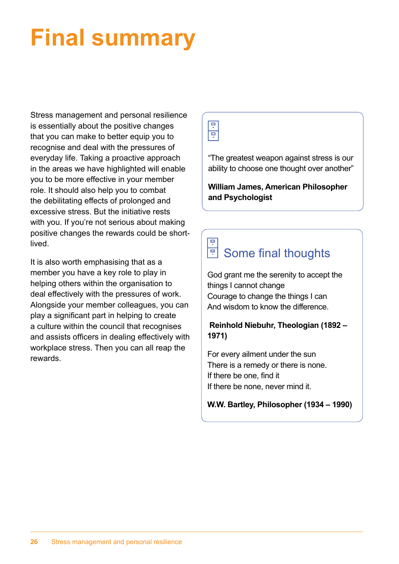# **Final summary**

Stress management and personal resilience is essentially about the positive changes that you can make to better equip you to recognise and deal with the pressures of everyday life. Taking a proactive approach in the areas we have highlighted will enable you to be more effective in your member role. It should also help you to combat the debilitating effects of prolonged and excessive stress. But the initiative rests with you. If you're not serious about making positive changes the rewards could be shortlived.

It is also worth emphasising that as a member you have a key role to play in helping others within the organisation to deal effectively with the pressures of work. Alongside your member colleagues, you can play a significant part in helping to create a culture within the council that recognises and assists officers in dealing effectively with workplace stress. Then you can all reap the rewards.

Ţ Ţ

"The greatest weapon against stress is our ability to choose one thought over another"

**William James, American Philosopher and Psychologist**

#### 회 Some final thoughts

God grant me the serenity to accept the things I cannot change Courage to change the things I can And wisdom to know the difference.

## **Reinhold Niebuhr, Theologian (1892 – 1971)**

For every ailment under the sun There is a remedy or there is none. If there be one, find it If there be none, never mind it.

### **W.W. Bartley, Philosopher (1934 – 1990)**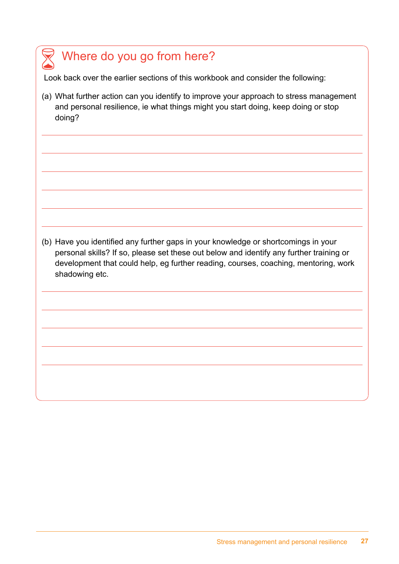## Where do you go from here?

Look back over the earlier sections of this workbook and consider the following:

(a) What further action can you identify to improve your approach to stress management and personal resilience, ie what things might you start doing, keep doing or stop doing?

(b) Have you identified any further gaps in your knowledge or shortcomings in your personal skills? If so, please set these out below and identify any further training or development that could help, eg further reading, courses, coaching, mentoring, work shadowing etc.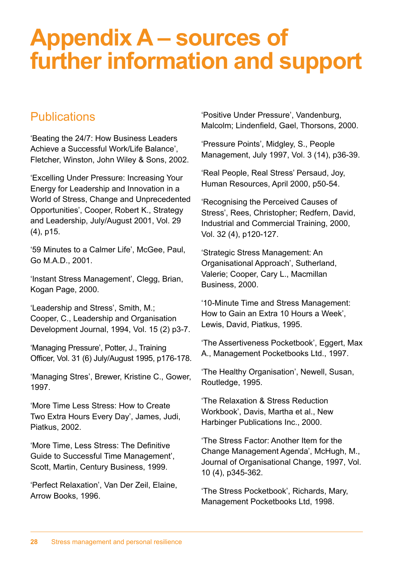# **Appendix A – sources of further information and support**

## **Publications**

'Beating the 24/7: How Business Leaders Achieve a Successful Work/Life Balance', Fletcher, Winston, John Wiley & Sons, 2002.

'Excelling Under Pressure: Increasing Your Energy for Leadership and Innovation in a World of Stress, Change and Unprecedented Opportunities', Cooper, Robert K., Strategy and Leadership, July/August 2001, Vol. 29 (4), p15.

'59 Minutes to a Calmer Life', McGee, Paul, Go M.A.D., 2001.

'Instant Stress Management', Clegg, Brian, Kogan Page, 2000.

'Leadership and Stress', Smith, M.; Cooper, C., Leadership and Organisation Development Journal, 1994, Vol. 15 (2) p3-7.

'Managing Pressure', Potter, J., Training Officer, Vol. 31 (6) July/August 1995, p176-178.

'Managing Stres', Brewer, Kristine C., Gower, 1997.

'More Time Less Stress: How to Create Two Extra Hours Every Day', James, Judi, Piatkus, 2002.

'More Time, Less Stress: The Definitive Guide to Successful Time Management', Scott, Martin, Century Business, 1999.

'Perfect Relaxation', Van Der Zeil, Elaine, Arrow Books, 1996.

'Positive Under Pressure', Vandenburg, Malcolm; Lindenfield, Gael, Thorsons, 2000.

'Pressure Points', Midgley, S., People Management, July 1997, Vol. 3 (14), p36-39.

'Real People, Real Stress' Persaud, Joy, Human Resources, April 2000, p50-54.

'Recognising the Perceived Causes of Stress', Rees, Christopher; Redfern, David, Industrial and Commercial Training, 2000, Vol. 32 (4), p120-127.

'Strategic Stress Management: An Organisational Approach', Sutherland, Valerie; Cooper, Cary L., Macmillan Business, 2000.

'10-Minute Time and Stress Management: How to Gain an Extra 10 Hours a Week', Lewis, David, Piatkus, 1995.

'The Assertiveness Pocketbook', Eggert, Max A., Management Pocketbooks Ltd., 1997.

'The Healthy Organisation', Newell, Susan, Routledge, 1995.

'The Relaxation & Stress Reduction Workbook', Davis, Martha et al., New Harbinger Publications Inc., 2000.

'The Stress Factor: Another Item for the Change Management Agenda', McHugh, M., Journal of Organisational Change, 1997, Vol. 10 (4), p345-362.

'The Stress Pocketbook', Richards, Mary, Management Pocketbooks Ltd, 1998.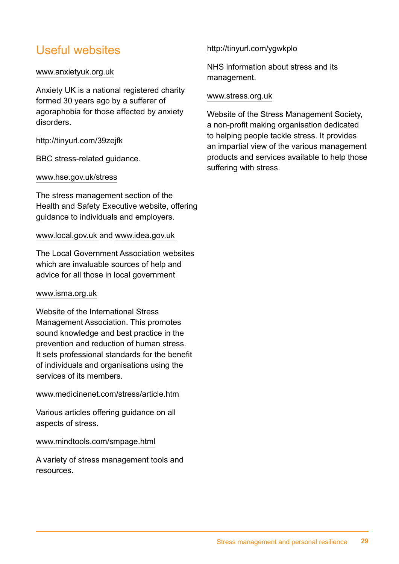## Useful websites

#### [www.anxietyuk.org.uk](http://www.anxietyuk.org.uk)

Anxiety UK is a national registered charity formed 30 years ago by a sufferer of agoraphobia for those affected by anxiety disorders.

#### http://tinyurl.com/39zejfk

BBC stress-related guidance.

#### [www.hse.gov.uk/stress](http://www.hse.gov.uk/stress)

The stress management section of the Health and Safety Executive website, offering guidance to individuals and employers.

#### [www.local.gov.uk](http://www.local.gov.uk) and [www.idea.gov.uk](http://www.idea.gov.uk)

The Local Government Association websites which are invaluable sources of help and advice for all those in local government

#### [www.isma.org.uk](http://www.isma.org.uk)

Website of the International Stress Management Association. This promotes sound knowledge and best practice in the prevention and reduction of human stress. It sets professional standards for the benefit of individuals and organisations using the services of its members.

#### [www.medicinenet.com/stress/article.htm](http://www.medicinenet.com/stress/article.htm)

Various articles offering guidance on all aspects of stress.

#### [www.mindtools.com/smpage.html](http://www.mindtools.com/smpage.html)

A variety of stress management tools and resources.

#### http://tinyurl.com/ygwkplo

NHS information about stress and its management.

#### [www.stress.org.uk](http://www.stress.org.uk)

Website of the Stress Management Society, a non-profit making organisation dedicated to helping people tackle stress. It provides an impartial view of the various management products and services available to help those suffering with stress.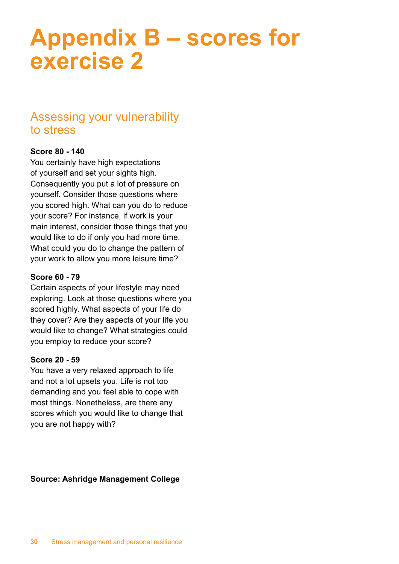## **Appendix B – scores for exercise 2**

## Assessing your vulnerability to stress

### **Score 80 - 140**

You certainly have high expectations of yourself and set your sights high. Consequently you put a lot of pressure on yourself. Consider those questions where you scored high. What can you do to reduce your score? For instance, if work is your main interest, consider those things that you would like to do if only you had more time. What could you do to change the pattern of your work to allow you more leisure time?

### **Score 60 - 79**

Certain aspects of your lifestyle may need exploring. Look at those questions where you scored highly. What aspects of your life do they cover? Are they aspects of your life you would like to change? What strategies could you employ to reduce your score?

### **Score 20 - 59**

You have a very relaxed approach to life and not a lot upsets you. Life is not too demanding and you feel able to cope with most things. Nonetheless, are there any scores which you would like to change that you are not happy with?

**Source: Ashridge Management College**